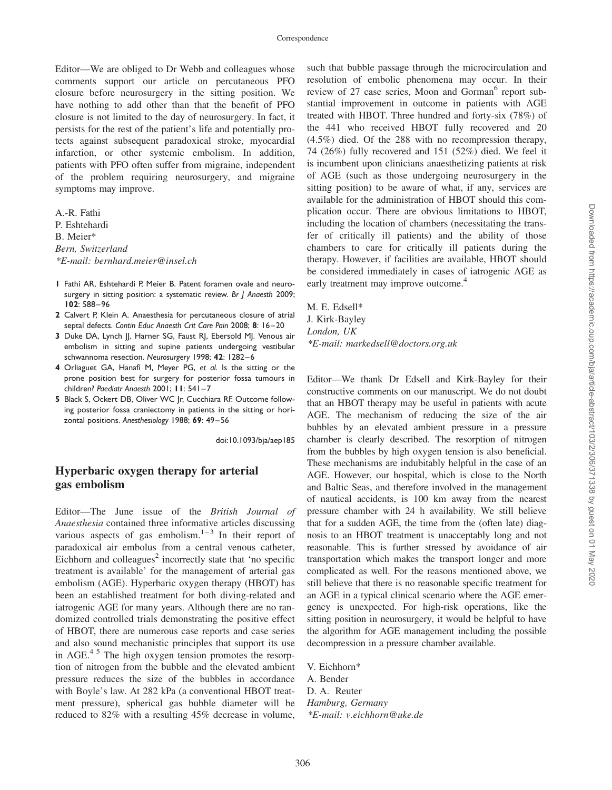Editor—We are obliged to Dr Webb and colleagues whose comments support our article on percutaneous PFO closure before neurosurgery in the sitting position. We have nothing to add other than that the benefit of PFO closure is not limited to the day of neurosurgery. In fact, it persists for the rest of the patient's life and potentially protects against subsequent paradoxical stroke, myocardial infarction, or other systemic embolism. In addition, patients with PFO often suffer from migraine, independent of the problem requiring neurosurgery, and migraine symptoms may improve.

A.-R. Fathi P. Eshtehardi B. Meier\* Bern, Switzerland \*E-mail: bernhard.meier@insel.ch

- 1 Fathi AR, Eshtehardi P, Meier B. Patent foramen ovale and neurosurgery in sitting position: a systematic review. Br J Anaesth 2009; 102: 588–96
- 2 Calvert P, Klein A. Anaesthesia for percutaneous closure of atrial septal defects. Contin Educ Anaesth Crit Care Pain 2008; 8: 16–20
- 3 Duke DA, Lynch JJ, Harner SG, Faust RJ, Ebersold MJ. Venous air embolism in sitting and supine patients undergoing vestibular schwannoma resection. Neurosurgery 1998; 42: 1282–6
- 4 Orliaguet GA, Hanafi M, Meyer PG, et al. Is the sitting or the prone position best for surgery for posterior fossa tumours in children? Paediatr Anaesth 2001; 11: 541–7
- 5 Black S, Ockert DB, Oliver WC Jr, Cucchiara RF. Outcome following posterior fossa craniectomy in patients in the sitting or horizontal positions. Anesthesiology 1988; 69: 49–56

doi:10.1093/bja/aep185

## Hyperbaric oxygen therapy for arterial gas embolism

Editor—The June issue of the British Journal of Anaesthesia contained three informative articles discussing various aspects of gas embolism.<sup>1–3</sup> In their report of paradoxical air embolus from a central venous catheter, Eichhorn and colleagues<sup>2</sup> incorrectly state that 'no specific treatment is available' for the management of arterial gas embolism (AGE). Hyperbaric oxygen therapy (HBOT) has been an established treatment for both diving-related and iatrogenic AGE for many years. Although there are no randomized controlled trials demonstrating the positive effect of HBOT, there are numerous case reports and case series and also sound mechanistic principles that support its use in AGE. $4\frac{5}{1}$  The high oxygen tension promotes the resorption of nitrogen from the bubble and the elevated ambient pressure reduces the size of the bubbles in accordance with Boyle's law. At 282 kPa (a conventional HBOT treatment pressure), spherical gas bubble diameter will be reduced to 82% with a resulting 45% decrease in volume,

such that bubble passage through the microcirculation and resolution of embolic phenomena may occur. In their review of 27 case series, Moon and Gorman<sup>6</sup> report substantial improvement in outcome in patients with AGE treated with HBOT. Three hundred and forty-six (78%) of the 441 who received HBOT fully recovered and 20 (4.5%) died. Of the 288 with no recompression therapy, 74 (26%) fully recovered and 151 (52%) died. We feel it is incumbent upon clinicians anaesthetizing patients at risk of AGE (such as those undergoing neurosurgery in the sitting position) to be aware of what, if any, services are available for the administration of HBOT should this complication occur. There are obvious limitations to HBOT, including the location of chambers (necessitating the transfer of critically ill patients) and the ability of those chambers to care for critically ill patients during the therapy. However, if facilities are available, HBOT should be considered immediately in cases of iatrogenic AGE as early treatment may improve outcome.<sup>4</sup>

M. E. Edsell\* J. Kirk-Bayley London, UK \*E-mail: markedsell@doctors.org.uk

Editor—We thank Dr Edsell and Kirk-Bayley for their constructive comments on our manuscript. We do not doubt that an HBOT therapy may be useful in patients with acute AGE. The mechanism of reducing the size of the air bubbles by an elevated ambient pressure in a pressure chamber is clearly described. The resorption of nitrogen from the bubbles by high oxygen tension is also beneficial. These mechanisms are indubitably helpful in the case of an AGE. However, our hospital, which is close to the North and Baltic Seas, and therefore involved in the management of nautical accidents, is 100 km away from the nearest pressure chamber with 24 h availability. We still believe that for a sudden AGE, the time from the (often late) diagnosis to an HBOT treatment is unacceptably long and not reasonable. This is further stressed by avoidance of air transportation which makes the transport longer and more complicated as well. For the reasons mentioned above, we still believe that there is no reasonable specific treatment for an AGE in a typical clinical scenario where the AGE emergency is unexpected. For high-risk operations, like the sitting position in neurosurgery, it would be helpful to have the algorithm for AGE management including the possible decompression in a pressure chamber available.

V. Eichhorn\* A. Bender

D. A. Reuter Hamburg, Germany

\*E-mail: v.eichhorn@uke.de